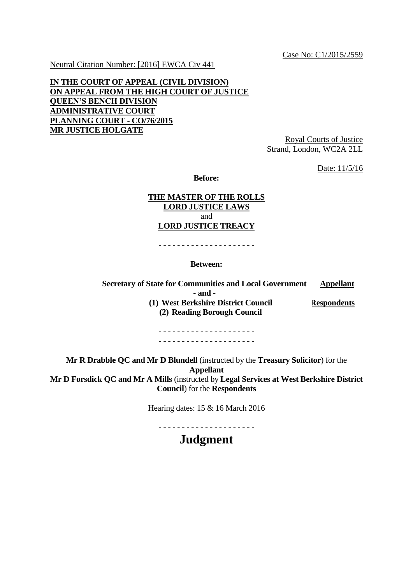Case No: C1/2015/2559

Neutral Citation Number: [2016] EWCA Civ 441

## **IN THE COURT OF APPEAL (CIVIL DIVISION) ON APPEAL FROM THE HIGH COURT OF JUSTICE QUEEN'S BENCH DIVISION ADMINISTRATIVE COURT PLANNING COURT - CO/76/2015 MR JUSTICE HOLGATE**

Royal Courts of Justice Strand, London, WC2A 2LL

Date: 11/5/16

**Before:**

#### **THE MASTER OF THE ROLLS LORD JUSTICE LAWS** and **LORD JUSTICE TREACY**

- - - - - - - - - - - - - - - - - - - - -

#### **Between:**

**Secretary of State for Communities and Local Government Appellant - and - (1) West Berkshire District Council (2) Reading Borough Council Respondents**

> - - - - - - - - - - - - - - - - - - - - - - - - - - - - - - - - - - - - - - - - - -

**Mr R Drabble QC and Mr D Blundell** (instructed by the **Treasury Solicitor**) for the **Appellant Mr D Forsdick QC and Mr A Mills** (instructed by **Legal Services at West Berkshire District Council**) for the **Respondents**

Hearing dates: 15 & 16 March 2016

- - - - - - - - - - - - - - - - - - - - - **Judgment**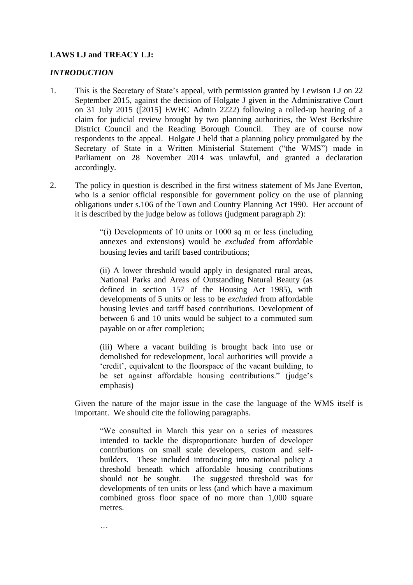## **LAWS LJ and TREACY LJ:**

…

### *INTRODUCTION*

- 1. This is the Secretary of State's appeal, with permission granted by Lewison LJ on 22 September 2015, against the decision of Holgate J given in the Administrative Court on 31 July 2015 ([2015] EWHC Admin 2222) following a rolled-up hearing of a claim for judicial review brought by two planning authorities, the West Berkshire District Council and the Reading Borough Council. They are of course now respondents to the appeal. Holgate J held that a planning policy promulgated by the Secretary of State in a Written Ministerial Statement ("the WMS") made in Parliament on 28 November 2014 was unlawful, and granted a declaration accordingly.
- 2. The policy in question is described in the first witness statement of Ms Jane Everton, who is a senior official responsible for government policy on the use of planning obligations under s.106 of the Town and Country Planning Act 1990. Her account of it is described by the judge below as follows (judgment paragraph 2):

"(i) Developments of 10 units or 1000 sq m or less (including annexes and extensions) would be *excluded* from affordable housing levies and tariff based contributions;

(ii) A lower threshold would apply in designated rural areas, National Parks and Areas of Outstanding Natural Beauty (as defined in section 157 of the Housing Act 1985), with developments of 5 units or less to be *excluded* from affordable housing levies and tariff based contributions. Development of between 6 and 10 units would be subject to a commuted sum payable on or after completion;

(iii) Where a vacant building is brought back into use or demolished for redevelopment, local authorities will provide a 'credit', equivalent to the floorspace of the vacant building, to be set against affordable housing contributions." (judge's emphasis)

Given the nature of the major issue in the case the language of the WMS itself is important. We should cite the following paragraphs.

"We consulted in March this year on a series of measures intended to tackle the disproportionate burden of developer contributions on small scale developers, custom and selfbuilders. These included introducing into national policy a threshold beneath which affordable housing contributions should not be sought. The suggested threshold was for developments of ten units or less (and which have a maximum combined gross floor space of no more than 1,000 square metres.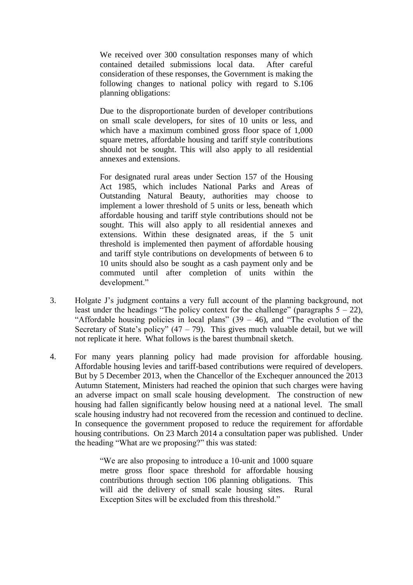We received over 300 consultation responses many of which contained detailed submissions local data. After careful consideration of these responses, the Government is making the following changes to national policy with regard to S.106 planning obligations:

Due to the disproportionate burden of developer contributions on small scale developers, for sites of 10 units or less, and which have a maximum combined gross floor space of 1,000 square metres, affordable housing and tariff style contributions should not be sought. This will also apply to all residential annexes and extensions.

For designated rural areas under Section 157 of the Housing Act 1985, which includes National Parks and Areas of Outstanding Natural Beauty, authorities may choose to implement a lower threshold of 5 units or less, beneath which affordable housing and tariff style contributions should not be sought. This will also apply to all residential annexes and extensions. Within these designated areas, if the 5 unit threshold is implemented then payment of affordable housing and tariff style contributions on developments of between 6 to 10 units should also be sought as a cash payment only and be commuted until after completion of units within the development."

- 3. Holgate J's judgment contains a very full account of the planning background, not least under the headings "The policy context for the challenge" (paragraphs  $5 - 22$ ), "Affordable housing policies in local plans"  $(39 - 46)$ , and "The evolution of the Secretary of State's policy"  $(47 – 79)$ . This gives much valuable detail, but we will not replicate it here. What follows is the barest thumbnail sketch.
- 4. For many years planning policy had made provision for affordable housing. Affordable housing levies and tariff-based contributions were required of developers. But by 5 December 2013, when the Chancellor of the Exchequer announced the 2013 Autumn Statement, Ministers had reached the opinion that such charges were having an adverse impact on small scale housing development. The construction of new housing had fallen significantly below housing need at a national level. The small scale housing industry had not recovered from the recession and continued to decline. In consequence the government proposed to reduce the requirement for affordable housing contributions. On 23 March 2014 a consultation paper was published. Under the heading "What are we proposing?" this was stated:

"We are also proposing to introduce a 10-unit and 1000 square metre gross floor space threshold for affordable housing contributions through section 106 planning obligations. This will aid the delivery of small scale housing sites. Rural Exception Sites will be excluded from this threshold."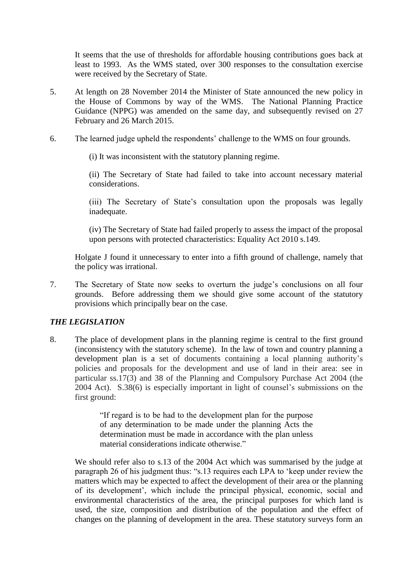It seems that the use of thresholds for affordable housing contributions goes back at least to 1993. As the WMS stated, over 300 responses to the consultation exercise were received by the Secretary of State.

- 5. At length on 28 November 2014 the Minister of State announced the new policy in the House of Commons by way of the WMS. The National Planning Practice Guidance (NPPG) was amended on the same day, and subsequently revised on 27 February and 26 March 2015.
- 6. The learned judge upheld the respondents' challenge to the WMS on four grounds.

(i) It was inconsistent with the statutory planning regime.

(ii) The Secretary of State had failed to take into account necessary material considerations.

(iii) The Secretary of State's consultation upon the proposals was legally inadequate.

(iv) The Secretary of State had failed properly to assess the impact of the proposal upon persons with protected characteristics: Equality Act 2010 s.149.

Holgate J found it unnecessary to enter into a fifth ground of challenge, namely that the policy was irrational.

7. The Secretary of State now seeks to overturn the judge's conclusions on all four grounds. Before addressing them we should give some account of the statutory provisions which principally bear on the case.

## *THE LEGISLATION*

8. The place of development plans in the planning regime is central to the first ground (inconsistency with the statutory scheme). In the law of town and country planning a development plan is a set of documents containing a local planning authority's policies and proposals for the development and use of land in their area: see in particular ss.17(3) and 38 of the Planning and Compulsory Purchase Act 2004 (the 2004 Act). S.38(6) is especially important in light of counsel's submissions on the first ground:

> "If regard is to be had to the development plan for the purpose of any determination to be made under the planning Acts the determination must be made in accordance with the plan unless material considerations indicate otherwise."

We should refer also to s.13 of the 2004 Act which was summarised by the judge at paragraph 26 of his judgment thus: "s.13 requires each LPA to 'keep under review the matters which may be expected to affect the development of their area or the planning of its development', which include the principal physical, economic, social and environmental characteristics of the area, the principal purposes for which land is used, the size, composition and distribution of the population and the effect of changes on the planning of development in the area. These statutory surveys form an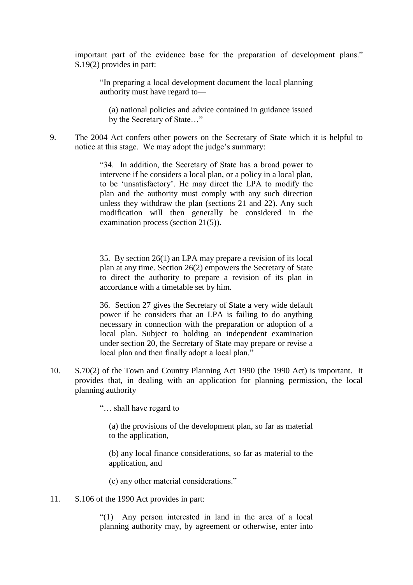important part of the evidence base for the preparation of development plans." S.19(2) provides in part:

"In preparing a local development document the local planning authority must have regard to—

(a) national policies and advice contained in guidance issued by the Secretary of State…"

9. The 2004 Act confers other powers on the Secretary of State which it is helpful to notice at this stage. We may adopt the judge's summary:

> "34. In addition, the Secretary of State has a broad power to intervene if he considers a local plan, or a policy in a local plan, to be 'unsatisfactory'. He may direct the LPA to modify the plan and the authority must comply with any such direction unless they withdraw the plan (sections 21 and 22). Any such modification will then generally be considered in the examination process (section 21(5)).

> 35. By section 26(1) an LPA may prepare a revision of its local plan at any time. Section 26(2) empowers the Secretary of State to direct the authority to prepare a revision of its plan in accordance with a timetable set by him.

> 36. Section 27 gives the Secretary of State a very wide default power if he considers that an LPA is failing to do anything necessary in connection with the preparation or adoption of a local plan. Subject to holding an independent examination under section 20, the Secretary of State may prepare or revise a local plan and then finally adopt a local plan."

10. S.70(2) of the Town and Country Planning Act 1990 (the 1990 Act) is important. It provides that, in dealing with an application for planning permission, the local planning authority

"… shall have regard to

(a) the provisions of the development plan, so far as material to the application,

(b) any local finance considerations, so far as material to the application, and

(c) any other material considerations."

11. S.106 of the 1990 Act provides in part:

"(1) Any person interested in land in the area of a local planning authority may, by agreement or otherwise, enter into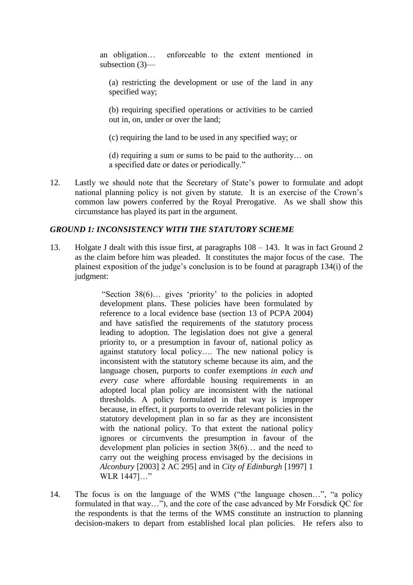an obligation… enforceable to the extent mentioned in subsection (3)—

(a) restricting the development or use of the land in any specified way;

(b) requiring specified operations or activities to be carried out in, on, under or over the land;

(c) requiring the land to be used in any specified way; or

(d) requiring a sum or sums to be paid to the authority… on a specified date or dates or periodically."

12. Lastly we should note that the Secretary of State's power to formulate and adopt national planning policy is not given by statute. It is an exercise of the Crown's common law powers conferred by the Royal Prerogative. As we shall show this circumstance has played its part in the argument.

### *GROUND 1: INCONSISTENCY WITH THE STATUTORY SCHEME*

13. Holgate J dealt with this issue first, at paragraphs 108 – 143. It was in fact Ground 2 as the claim before him was pleaded. It constitutes the major focus of the case. The plainest exposition of the judge's conclusion is to be found at paragraph 134(i) of the judgment:

> "Section 38(6)… gives 'priority' to the policies in adopted development plans. These policies have been formulated by reference to a local evidence base (section 13 of PCPA 2004) and have satisfied the requirements of the statutory process leading to adoption. The legislation does not give a general priority to, or a presumption in favour of, national policy as against statutory local policy…. The new national policy is inconsistent with the statutory scheme because its aim, and the language chosen, purports to confer exemptions *in each and every case* where affordable housing requirements in an adopted local plan policy are inconsistent with the national thresholds. A policy formulated in that way is improper because, in effect, it purports to override relevant policies in the statutory development plan in so far as they are inconsistent with the national policy. To that extent the national policy ignores or circumvents the presumption in favour of the development plan policies in section 38(6)… and the need to carry out the weighing process envisaged by the decisions in *Alconbury* [2003] 2 AC 295] and in *City of Edinburgh* [1997] 1 WLR 1447]…"

14. The focus is on the language of the WMS ("the language chosen…", "a policy formulated in that way…"), and the core of the case advanced by Mr Forsdick QC for the respondents is that the terms of the WMS constitute an instruction to planning decision-makers to depart from established local plan policies. He refers also to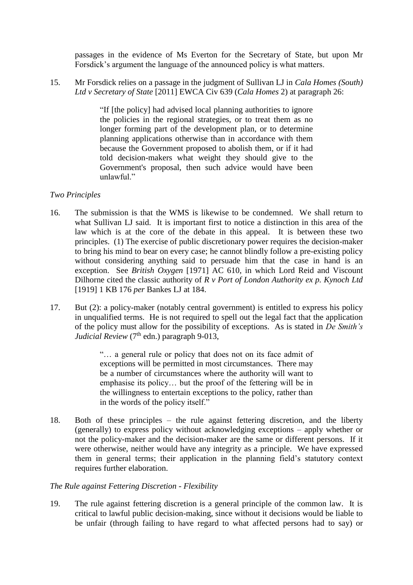passages in the evidence of Ms Everton for the Secretary of State, but upon Mr Forsdick's argument the language of the announced policy is what matters.

15. Mr Forsdick relies on a passage in the judgment of Sullivan LJ in *Cala Homes (South) Ltd v Secretary of State* [2011] EWCA Civ 639 (*Cala Homes* 2) at paragraph 26:

> "If [the policy] had advised local planning authorities to ignore the policies in the regional strategies, or to treat them as no longer forming part of the development plan, or to determine planning applications otherwise than in accordance with them because the Government proposed to abolish them, or if it had told decision-makers what weight they should give to the Government's proposal, then such advice would have been unlawful."

## *Two Principles*

- 16. The submission is that the WMS is likewise to be condemned. We shall return to what Sullivan LJ said. It is important first to notice a distinction in this area of the law which is at the core of the debate in this appeal. It is between these two principles. (1) The exercise of public discretionary power requires the decision-maker to bring his mind to bear on every case; he cannot blindly follow a pre-existing policy without considering anything said to persuade him that the case in hand is an exception. See *British Oxygen* [\[1971\] AC 610,](http://www.bailii.org/cgi-bin/redirect.cgi?path=/uk/cases/UKHL/1970/4.html) in which Lord Reid and Viscount Dilhorne cited the classic authority of *R v Port of London Authority ex p. Kynoch Ltd*  [1919] 1 KB 176 *per* Bankes LJ at 184.
- 17. But (2): a policy-maker (notably central government) is entitled to express his policy in unqualified terms. He is not required to spell out the legal fact that the application of the policy must allow for the possibility of exceptions. As is stated in *De Smith's Judicial Review* (7<sup>th</sup> edn.) paragraph 9-013,

"… a general rule or policy that does not on its face admit of exceptions will be permitted in most circumstances. There may be a number of circumstances where the authority will want to emphasise its policy… but the proof of the fettering will be in the willingness to entertain exceptions to the policy, rather than in the words of the policy itself."

18. Both of these principles – the rule against fettering discretion, and the liberty (generally) to express policy without acknowledging exceptions – apply whether or not the policy-maker and the decision-maker are the same or different persons. If it were otherwise, neither would have any integrity as a principle. We have expressed them in general terms; their application in the planning field's statutory context requires further elaboration.

## *The Rule against Fettering Discretion - Flexibility*

19. The rule against fettering discretion is a general principle of the common law. It is critical to lawful public decision-making, since without it decisions would be liable to be unfair (through failing to have regard to what affected persons had to say) or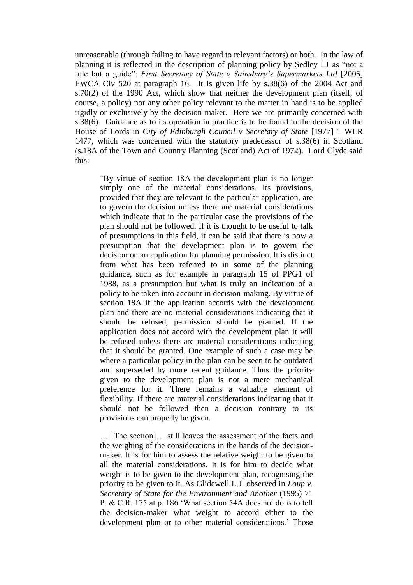unreasonable (through failing to have regard to relevant factors) or both. In the law of planning it is reflected in the description of planning policy by Sedley LJ as "not a rule but a guide": *First Secretary of State v Sainsbury's Supermarkets Ltd* [2005] EWCA Civ 520 at paragraph 16. It is given life by s.38(6) of the 2004 Act and s.70(2) of the 1990 Act, which show that neither the development plan (itself, of course, a policy) nor any other policy relevant to the matter in hand is to be applied rigidly or exclusively by the decision-maker. Here we are primarily concerned with s.38(6). Guidance as to its operation in practice is to be found in the decision of the House of Lords in *City of Edinburgh Council v Secretary of State* [1977] 1 WLR 1477, which was concerned with the statutory predecessor of s.38(6) in Scotland (s.18A of the Town and Country Planning (Scotland) Act of 1972). Lord Clyde said this:

"By virtue of section 18A the development plan is no longer simply one of the material considerations. Its provisions, provided that they are relevant to the particular application, are to govern the decision unless there are material considerations which indicate that in the particular case the provisions of the plan should not be followed. If it is thought to be useful to talk of presumptions in this field, it can be said that there is now a presumption that the development plan is to govern the decision on an application for planning permission. It is distinct from what has been referred to in some of the planning guidance, such as for example in paragraph 15 of PPG1 of 1988, as a presumption but what is truly an indication of a policy to be taken into account in decision-making. By virtue of section 18A if the application accords with the development plan and there are no material considerations indicating that it should be refused, permission should be granted. If the application does not accord with the development plan it will be refused unless there are material considerations indicating that it should be granted. One example of such a case may be where a particular policy in the plan can be seen to be outdated and superseded by more recent guidance. Thus the priority given to the development plan is not a mere mechanical preference for it. There remains a valuable element of flexibility. If there are material considerations indicating that it should not be followed then a decision contrary to its provisions can properly be given.

… [The section]… still leaves the assessment of the facts and the weighing of the considerations in the hands of the decisionmaker. It is for him to assess the relative weight to be given to all the material considerations. It is for him to decide what weight is to be given to the development plan, recognising the priority to be given to it. As Glidewell L.J. observed in *Loup v. Secretary of State for the Environment and Another* (1995) 71 P. & C.R. 175 at p. 186 'What section 54A does not do is to tell the decision-maker what weight to accord either to the development plan or to other material considerations.' Those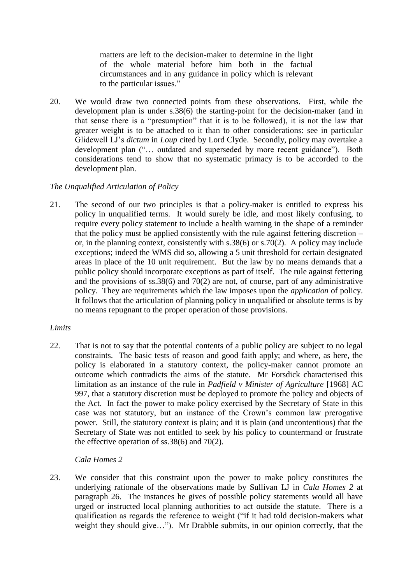matters are left to the decision-maker to determine in the light of the whole material before him both in the factual circumstances and in any guidance in policy which is relevant to the particular issues."

20. We would draw two connected points from these observations. First, while the development plan is under s.38(6) the starting-point for the decision-maker (and in that sense there is a "presumption" that it is to be followed), it is not the law that greater weight is to be attached to it than to other considerations: see in particular Glidewell LJ's *dictum* in *Loup* cited by Lord Clyde. Secondly, policy may overtake a development plan ("… outdated and superseded by more recent guidance"). Both considerations tend to show that no systematic primacy is to be accorded to the development plan.

## *The Unqualified Articulation of Policy*

21. The second of our two principles is that a policy-maker is entitled to express his policy in unqualified terms. It would surely be idle, and most likely confusing, to require every policy statement to include a health warning in the shape of a reminder that the policy must be applied consistently with the rule against fettering discretion – or, in the planning context, consistently with s.38(6) or s.70(2). A policy may include exceptions; indeed the WMS did so, allowing a 5 unit threshold for certain designated areas in place of the 10 unit requirement. But the law by no means demands that a public policy should incorporate exceptions as part of itself. The rule against fettering and the provisions of ss.38(6) and 70(2) are not, of course, part of any administrative policy. They are requirements which the law imposes upon the *application* of policy. It follows that the articulation of planning policy in unqualified or absolute terms is by no means repugnant to the proper operation of those provisions.

## *Limits*

22. That is not to say that the potential contents of a public policy are subject to no legal constraints. The basic tests of reason and good faith apply; and where, as here, the policy is elaborated in a statutory context, the policy-maker cannot promote an outcome which contradicts the aims of the statute. Mr Forsdick characterised this limitation as an instance of the rule in *Padfield v Minister of Agriculture* [1968] AC 997, that a statutory discretion must be deployed to promote the policy and objects of the Act. In fact the power to make policy exercised by the Secretary of State in this case was not statutory, but an instance of the Crown's common law prerogative power. Still, the statutory context is plain; and it is plain (and uncontentious) that the Secretary of State was not entitled to seek by his policy to countermand or frustrate the effective operation of ss.38(6) and 70(2).

## *Cala Homes 2*

23. We consider that this constraint upon the power to make policy constitutes the underlying rationale of the observations made by Sullivan LJ in *Cala Homes 2* at paragraph 26. The instances he gives of possible policy statements would all have urged or instructed local planning authorities to act outside the statute. There is a qualification as regards the reference to weight ("if it had told decision-makers what weight they should give..."). Mr Drabble submits, in our opinion correctly, that the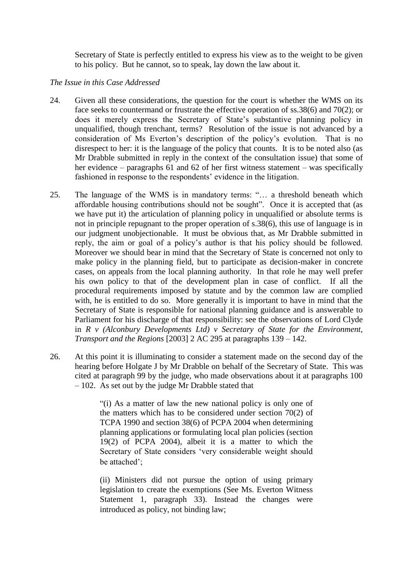Secretary of State is perfectly entitled to express his view as to the weight to be given to his policy. But he cannot, so to speak, lay down the law about it.

#### *The Issue in this Case Addressed*

- 24. Given all these considerations, the question for the court is whether the WMS on its face seeks to countermand or frustrate the effective operation of ss.38(6) and 70(2); or does it merely express the Secretary of State's substantive planning policy in unqualified, though trenchant, terms? Resolution of the issue is not advanced by a consideration of Ms Everton's description of the policy's evolution. That is no disrespect to her: it is the language of the policy that counts. It is to be noted also (as Mr Drabble submitted in reply in the context of the consultation issue) that some of her evidence – paragraphs 61 and 62 of her first witness statement – was specifically fashioned in response to the respondents' evidence in the litigation.
- 25. The language of the WMS is in mandatory terms: "… a threshold beneath which affordable housing contributions should not be sought". Once it is accepted that (as we have put it) the articulation of planning policy in unqualified or absolute terms is not in principle repugnant to the proper operation of s.38(6), this use of language is in our judgment unobjectionable. It must be obvious that, as Mr Drabble submitted in reply, the aim or goal of a policy's author is that his policy should be followed. Moreover we should bear in mind that the Secretary of State is concerned not only to make policy in the planning field, but to participate as decision-maker in concrete cases, on appeals from the local planning authority. In that role he may well prefer his own policy to that of the development plan in case of conflict. If all the procedural requirements imposed by statute and by the common law are complied with, he is entitled to do so. More generally it is important to have in mind that the Secretary of State is responsible for national planning guidance and is answerable to Parliament for his discharge of that responsibility: see the observations of Lord Clyde in *R v (Alconbury Developments Ltd) v Secretary of State for the Environment, Transport and the Regions* [2003] 2 AC 295 at paragraphs 139 – 142.
- 26. At this point it is illuminating to consider a statement made on the second day of the hearing before Holgate J by Mr Drabble on behalf of the Secretary of State. This was cited at paragraph 99 by the judge, who made observations about it at paragraphs 100 – 102. As set out by the judge Mr Drabble stated that

"(i) As a matter of law the new national policy is only one of the matters which has to be considered under section 70(2) of TCPA 1990 and section 38(6) of PCPA 2004 when determining planning applications or formulating local plan policies (section 19(2) of PCPA 2004), albeit it is a matter to which the Secretary of State considers 'very considerable weight should be attached';

(ii) Ministers did not pursue the option of using primary legislation to create the exemptions (See Ms. Everton Witness Statement 1, paragraph 33). Instead the changes were introduced as policy, not binding law;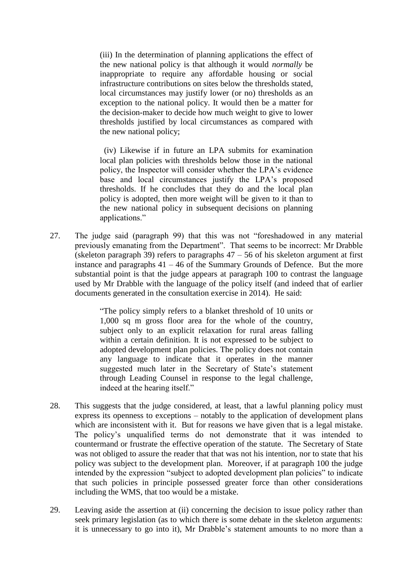(iii) In the determination of planning applications the effect of the new national policy is that although it would *normally* be inappropriate to require any affordable housing or social infrastructure contributions on sites below the thresholds stated, local circumstances may justify lower (or no) thresholds as an exception to the national policy. It would then be a matter for the decision-maker to decide how much weight to give to lower thresholds justified by local circumstances as compared with the new national policy;

(iv) Likewise if in future an LPA submits for examination local plan policies with thresholds below those in the national policy, the Inspector will consider whether the LPA's evidence base and local circumstances justify the LPA's proposed thresholds. If he concludes that they do and the local plan policy is adopted, then more weight will be given to it than to the new national policy in subsequent decisions on planning applications."

27. The judge said (paragraph 99) that this was not "foreshadowed in any material previously emanating from the Department". That seems to be incorrect: Mr Drabble (skeleton paragraph 39) refers to paragraphs  $47 - 56$  of his skeleton argument at first instance and paragraphs  $41 - 46$  of the Summary Grounds of Defence. But the more substantial point is that the judge appears at paragraph 100 to contrast the language used by Mr Drabble with the language of the policy itself (and indeed that of earlier documents generated in the consultation exercise in 2014). He said:

> "The policy simply refers to a blanket threshold of 10 units or 1,000 sq m gross floor area for the whole of the country, subject only to an explicit relaxation for rural areas falling within a certain definition. It is not expressed to be subject to adopted development plan policies. The policy does not contain any language to indicate that it operates in the manner suggested much later in the Secretary of State's statement through Leading Counsel in response to the legal challenge, indeed at the hearing itself."

- 28. This suggests that the judge considered, at least, that a lawful planning policy must express its openness to exceptions – notably to the application of development plans which are inconsistent with it. But for reasons we have given that is a legal mistake. The policy's unqualified terms do not demonstrate that it was intended to countermand or frustrate the effective operation of the statute. The Secretary of State was not obliged to assure the reader that that was not his intention, nor to state that his policy was subject to the development plan. Moreover, if at paragraph 100 the judge intended by the expression "subject to adopted development plan policies" to indicate that such policies in principle possessed greater force than other considerations including the WMS, that too would be a mistake.
- 29. Leaving aside the assertion at (ii) concerning the decision to issue policy rather than seek primary legislation (as to which there is some debate in the skeleton arguments: it is unnecessary to go into it), Mr Drabble's statement amounts to no more than a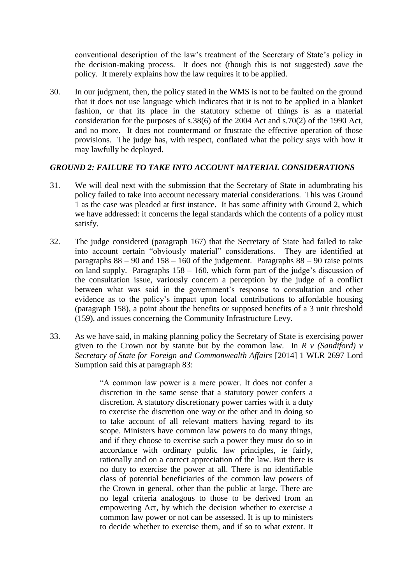conventional description of the law's treatment of the Secretary of State's policy in the decision-making process. It does not (though this is not suggested) *save* the policy. It merely explains how the law requires it to be applied.

30. In our judgment, then, the policy stated in the WMS is not to be faulted on the ground that it does not use language which indicates that it is not to be applied in a blanket fashion, or that its place in the statutory scheme of things is as a material consideration for the purposes of s.38(6) of the 2004 Act and s.70(2) of the 1990 Act, and no more. It does not countermand or frustrate the effective operation of those provisions. The judge has, with respect, conflated what the policy says with how it may lawfully be deployed.

## *GROUND 2: FAILURE TO TAKE INTO ACCOUNT MATERIAL CONSIDERATIONS*

- 31. We will deal next with the submission that the Secretary of State in adumbrating his policy failed to take into account necessary material considerations. This was Ground 1 as the case was pleaded at first instance. It has some affinity with Ground 2, which we have addressed: it concerns the legal standards which the contents of a policy must satisfy.
- 32. The judge considered (paragraph 167) that the Secretary of State had failed to take into account certain "obviously material" considerations. They are identified at paragraphs  $88 - 90$  and  $158 - 160$  of the judgement. Paragraphs  $88 - 90$  raise points on land supply. Paragraphs 158 – 160, which form part of the judge's discussion of the consultation issue, variously concern a perception by the judge of a conflict between what was said in the government's response to consultation and other evidence as to the policy's impact upon local contributions to affordable housing (paragraph 158), a point about the benefits or supposed benefits of a 3 unit threshold (159), and issues concerning the Community Infrastructure Levy.
- 33. As we have said, in making planning policy the Secretary of State is exercising power given to the Crown not by statute but by the common law. In *R v (Sandiford) v Secretary of State for Foreign and Commonwealth Affairs* [2014] 1 WLR 2697 Lord Sumption said this at paragraph 83:

"A common law power is a mere power. It does not confer a discretion in the same sense that a statutory power confers a discretion. A statutory discretionary power carries with it a duty to exercise the discretion one way or the other and in doing so to take account of all relevant matters having regard to its scope. Ministers have common law powers to do many things, and if they choose to exercise such a power they must do so in accordance with ordinary public law principles, ie fairly, rationally and on a correct appreciation of the law. But there is no duty to exercise the power at all. There is no identifiable class of potential beneficiaries of the common law powers of the Crown in general, other than the public at large. There are no legal criteria analogous to those to be derived from an empowering Act, by which the decision whether to exercise a common law power or not can be assessed. It is up to ministers to decide whether to exercise them, and if so to what extent. It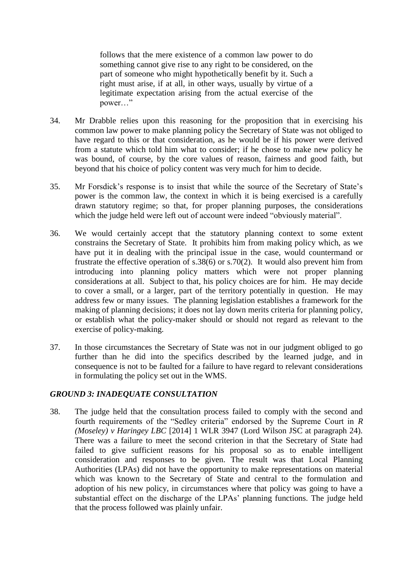follows that the mere existence of a common law power to do something cannot give rise to any right to be considered, on the part of someone who might hypothetically benefit by it. Such a right must arise, if at all, in other ways, usually by virtue of a legitimate expectation arising from the actual exercise of the power…"

- 34. Mr Drabble relies upon this reasoning for the proposition that in exercising his common law power to make planning policy the Secretary of State was not obliged to have regard to this or that consideration, as he would be if his power were derived from a statute which told him what to consider; if he chose to make new policy he was bound, of course, by the core values of reason, fairness and good faith, but beyond that his choice of policy content was very much for him to decide.
- 35. Mr Forsdick's response is to insist that while the source of the Secretary of State's power is the common law, the context in which it is being exercised is a carefully drawn statutory regime; so that, for proper planning purposes, the considerations which the judge held were left out of account were indeed "obviously material".
- 36. We would certainly accept that the statutory planning context to some extent constrains the Secretary of State. It prohibits him from making policy which, as we have put it in dealing with the principal issue in the case, would countermand or frustrate the effective operation of s.38(6) or s.70(2). It would also prevent him from introducing into planning policy matters which were not proper planning considerations at all. Subject to that, his policy choices are for him. He may decide to cover a small, or a larger, part of the territory potentially in question. He may address few or many issues. The planning legislation establishes a framework for the making of planning decisions; it does not lay down merits criteria for planning policy, or establish what the policy-maker should or should not regard as relevant to the exercise of policy-making.
- 37. In those circumstances the Secretary of State was not in our judgment obliged to go further than he did into the specifics described by the learned judge, and in consequence is not to be faulted for a failure to have regard to relevant considerations in formulating the policy set out in the WMS.

#### *GROUND 3: INADEQUATE CONSULTATION*

38. The judge held that the consultation process failed to comply with the second and fourth requirements of the "Sedley criteria" endorsed by the Supreme Court in *R (Moseley) v Haringey LBC* [2014] 1 WLR 3947 (Lord Wilson JSC at paragraph 24). There was a failure to meet the second criterion in that the Secretary of State had failed to give sufficient reasons for his proposal so as to enable intelligent consideration and responses to be given. The result was that Local Planning Authorities (LPAs) did not have the opportunity to make representations on material which was known to the Secretary of State and central to the formulation and adoption of his new policy, in circumstances where that policy was going to have a substantial effect on the discharge of the LPAs' planning functions. The judge held that the process followed was plainly unfair.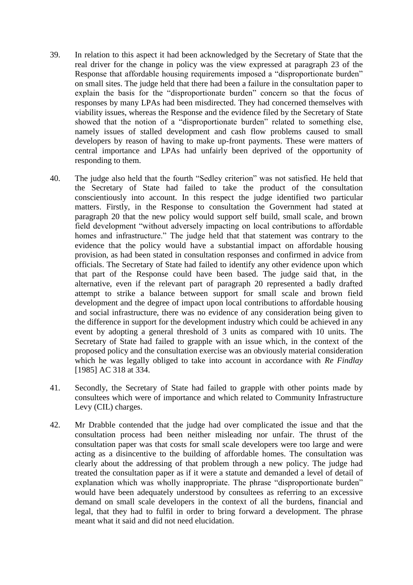- 39. In relation to this aspect it had been acknowledged by the Secretary of State that the real driver for the change in policy was the view expressed at paragraph 23 of the Response that affordable housing requirements imposed a "disproportionate burden" on small sites. The judge held that there had been a failure in the consultation paper to explain the basis for the "disproportionate burden" concern so that the focus of responses by many LPAs had been misdirected. They had concerned themselves with viability issues, whereas the Response and the evidence filed by the Secretary of State showed that the notion of a "disproportionate burden" related to something else, namely issues of stalled development and cash flow problems caused to small developers by reason of having to make up-front payments. These were matters of central importance and LPAs had unfairly been deprived of the opportunity of responding to them.
- 40. The judge also held that the fourth "Sedley criterion" was not satisfied. He held that the Secretary of State had failed to take the product of the consultation conscientiously into account. In this respect the judge identified two particular matters. Firstly, in the Response to consultation the Government had stated at paragraph 20 that the new policy would support self build, small scale, and brown field development "without adversely impacting on local contributions to affordable homes and infrastructure." The judge held that that statement was contrary to the evidence that the policy would have a substantial impact on affordable housing provision, as had been stated in consultation responses and confirmed in advice from officials. The Secretary of State had failed to identify any other evidence upon which that part of the Response could have been based. The judge said that, in the alternative, even if the relevant part of paragraph 20 represented a badly drafted attempt to strike a balance between support for small scale and brown field development and the degree of impact upon local contributions to affordable housing and social infrastructure, there was no evidence of any consideration being given to the difference in support for the development industry which could be achieved in any event by adopting a general threshold of 3 units as compared with 10 units. The Secretary of State had failed to grapple with an issue which, in the context of the proposed policy and the consultation exercise was an obviously material consideration which he was legally obliged to take into account in accordance with *Re Findlay*  [1985] AC 318 at 334.
- 41. Secondly, the Secretary of State had failed to grapple with other points made by consultees which were of importance and which related to Community Infrastructure Levy (CIL) charges.
- 42. Mr Drabble contended that the judge had over complicated the issue and that the consultation process had been neither misleading nor unfair. The thrust of the consultation paper was that costs for small scale developers were too large and were acting as a disincentive to the building of affordable homes. The consultation was clearly about the addressing of that problem through a new policy. The judge had treated the consultation paper as if it were a statute and demanded a level of detail of explanation which was wholly inappropriate. The phrase "disproportionate burden" would have been adequately understood by consultees as referring to an excessive demand on small scale developers in the context of all the burdens, financial and legal, that they had to fulfil in order to bring forward a development. The phrase meant what it said and did not need elucidation.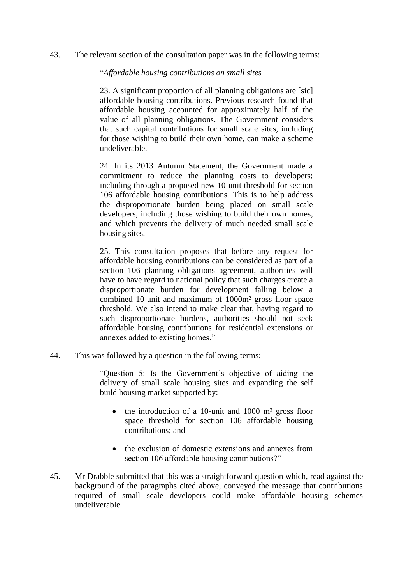43. The relevant section of the consultation paper was in the following terms:

#### "*Affordable housing contributions on small sites*

23. A significant proportion of all planning obligations are [sic] affordable housing contributions. Previous research found that affordable housing accounted for approximately half of the value of all planning obligations. The Government considers that such capital contributions for small scale sites, including for those wishing to build their own home, can make a scheme undeliverable.

24. In its 2013 Autumn Statement, the Government made a commitment to reduce the planning costs to developers; including through a proposed new 10-unit threshold for section 106 affordable housing contributions. This is to help address the disproportionate burden being placed on small scale developers, including those wishing to build their own homes, and which prevents the delivery of much needed small scale housing sites.

25. This consultation proposes that before any request for affordable housing contributions can be considered as part of a section 106 planning obligations agreement, authorities will have to have regard to national policy that such charges create a disproportionate burden for development falling below a combined 10-unit and maximum of 1000m² gross floor space threshold. We also intend to make clear that, having regard to such disproportionate burdens, authorities should not seek affordable housing contributions for residential extensions or annexes added to existing homes."

44. This was followed by a question in the following terms:

"Question 5: Is the Government's objective of aiding the delivery of small scale housing sites and expanding the self build housing market supported by:

- $\bullet$  the introduction of a 10-unit and 1000 m<sup>2</sup> gross floor space threshold for section 106 affordable housing contributions; and
- the exclusion of domestic extensions and annexes from section 106 affordable housing contributions?"
- 45. Mr Drabble submitted that this was a straightforward question which, read against the background of the paragraphs cited above, conveyed the message that contributions required of small scale developers could make affordable housing schemes undeliverable.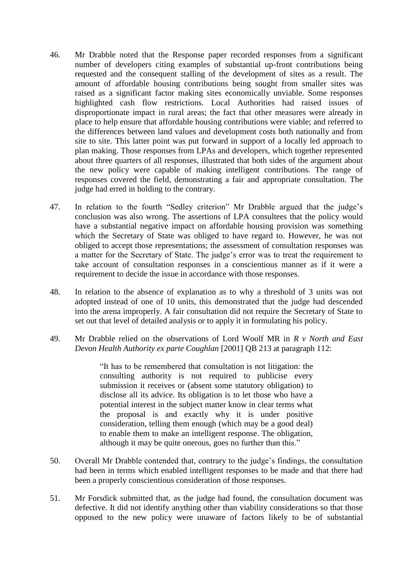- 46. Mr Drabble noted that the Response paper recorded responses from a significant number of developers citing examples of substantial up-front contributions being requested and the consequent stalling of the development of sites as a result. The amount of affordable housing contributions being sought from smaller sites was raised as a significant factor making sites economically unviable. Some responses highlighted cash flow restrictions. Local Authorities had raised issues of disproportionate impact in rural areas; the fact that other measures were already in place to help ensure that affordable housing contributions were viable; and referred to the differences between land values and development costs both nationally and from site to site. This latter point was put forward in support of a locally led approach to plan making. Those responses from LPAs and developers, which together represented about three quarters of all responses, illustrated that both sides of the argument about the new policy were capable of making intelligent contributions. The range of responses covered the field, demonstrating a fair and appropriate consultation. The judge had erred in holding to the contrary.
- 47. In relation to the fourth "Sedley criterion" Mr Drabble argued that the judge's conclusion was also wrong. The assertions of LPA consultees that the policy would have a substantial negative impact on affordable housing provision was something which the Secretary of State was obliged to have regard to. However, he was not obliged to accept those representations; the assessment of consultation responses was a matter for the Secretary of State. The judge's error was to treat the requirement to take account of consultation responses in a conscientious manner as if it were a requirement to decide the issue in accordance with those responses.
- 48. In relation to the absence of explanation as to why a threshold of 3 units was not adopted instead of one of 10 units, this demonstrated that the judge had descended into the arena improperly. A fair consultation did not require the Secretary of State to set out that level of detailed analysis or to apply it in formulating his policy.
- 49. Mr Drabble relied on the observations of Lord Woolf MR in *R v North and East Devon Health Authority ex parte Coughlan* [2001] QB 213 at paragraph 112:

"It has to be remembered that consultation is not litigation: the consulting authority is not required to publicise every submission it receives or (absent some statutory obligation) to disclose all its advice. Its obligation is to let those who have a potential interest in the subject matter know in clear terms what the proposal is and exactly why it is under positive consideration, telling them enough (which may be a good deal) to enable them to make an intelligent response. The obligation, although it may be quite onerous, goes no further than this."

- 50. Overall Mr Drabble contended that, contrary to the judge's findings, the consultation had been in terms which enabled intelligent responses to be made and that there had been a properly conscientious consideration of those responses.
- 51. Mr Forsdick submitted that, as the judge had found, the consultation document was defective. It did not identify anything other than viability considerations so that those opposed to the new policy were unaware of factors likely to be of substantial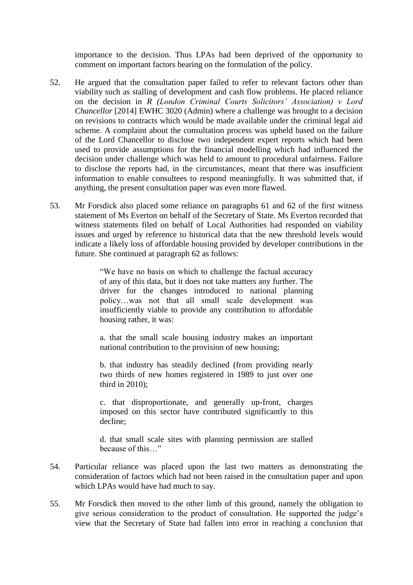importance to the decision. Thus LPAs had been deprived of the opportunity to comment on important factors bearing on the formulation of the policy.

- 52. He argued that the consultation paper failed to refer to relevant factors other than viability such as stalling of development and cash flow problems. He placed reliance on the decision in *R (London Criminal Courts Solicitors' Association) v Lord Chancellor* [2014] EWHC 3020 (Admin) where a challenge was brought to a decision on revisions to contracts which would be made available under the criminal legal aid scheme. A complaint about the consultation process was upheld based on the failure of the Lord Chancellor to disclose two independent expert reports which had been used to provide assumptions for the financial modelling which had influenced the decision under challenge which was held to amount to procedural unfairness. Failure to disclose the reports had, in the circumstances, meant that there was insufficient information to enable consultees to respond meaningfully. It was submitted that, if anything, the present consultation paper was even more flawed.
- 53. Mr Forsdick also placed some reliance on paragraphs 61 and 62 of the first witness statement of Ms Everton on behalf of the Secretary of State. Ms Everton recorded that witness statements filed on behalf of Local Authorities had responded on viability issues and urged by reference to historical data that the new threshold levels would indicate a likely loss of affordable housing provided by developer contributions in the future. She continued at paragraph 62 as follows:

"We have no basis on which to challenge the factual accuracy of any of this data, but it does not take matters any further. The driver for the changes introduced to national planning policy…was not that all small scale development was insufficiently viable to provide any contribution to affordable housing rather, it was:

a. that the small scale housing industry makes an important national contribution to the provision of new housing;

b. that industry has steadily declined (from providing nearly two thirds of new homes registered in 1989 to just over one third in 2010);

c. that disproportionate, and generally up-front, charges imposed on this sector have contributed significantly to this decline;

d. that small scale sites with planning permission are stalled because of this…"

- 54. Particular reliance was placed upon the last two matters as demonstrating the consideration of factors which had not been raised in the consultation paper and upon which LPAs would have had much to say.
- 55. Mr Forsdick then moved to the other limb of this ground, namely the obligation to give serious consideration to the product of consultation. He supported the judge's view that the Secretary of State had fallen into error in reaching a conclusion that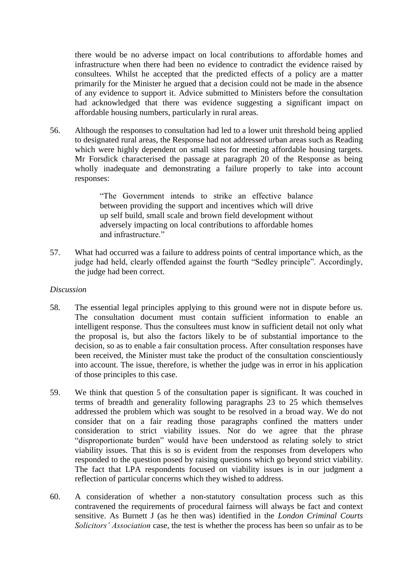there would be no adverse impact on local contributions to affordable homes and infrastructure when there had been no evidence to contradict the evidence raised by consultees. Whilst he accepted that the predicted effects of a policy are a matter primarily for the Minister he argued that a decision could not be made in the absence of any evidence to support it. Advice submitted to Ministers before the consultation had acknowledged that there was evidence suggesting a significant impact on affordable housing numbers, particularly in rural areas.

56. Although the responses to consultation had led to a lower unit threshold being applied to designated rural areas, the Response had not addressed urban areas such as Reading which were highly dependent on small sites for meeting affordable housing targets. Mr Forsdick characterised the passage at paragraph 20 of the Response as being wholly inadequate and demonstrating a failure properly to take into account responses:

> "The Government intends to strike an effective balance between providing the support and incentives which will drive up self build, small scale and brown field development without adversely impacting on local contributions to affordable homes and infrastructure."

57. What had occurred was a failure to address points of central importance which, as the judge had held, clearly offended against the fourth "Sedley principle". Accordingly, the judge had been correct.

#### *Discussion*

- 58. The essential legal principles applying to this ground were not in dispute before us. The consultation document must contain sufficient information to enable an intelligent response. Thus the consultees must know in sufficient detail not only what the proposal is, but also the factors likely to be of substantial importance to the decision, so as to enable a fair consultation process. After consultation responses have been received, the Minister must take the product of the consultation conscientiously into account. The issue, therefore, is whether the judge was in error in his application of those principles to this case.
- 59. We think that question 5 of the consultation paper is significant. It was couched in terms of breadth and generality following paragraphs 23 to 25 which themselves addressed the problem which was sought to be resolved in a broad way. We do not consider that on a fair reading those paragraphs confined the matters under consideration to strict viability issues. Nor do we agree that the phrase "disproportionate burden" would have been understood as relating solely to strict viability issues. That this is so is evident from the responses from developers who responded to the question posed by raising questions which go beyond strict viability. The fact that LPA respondents focused on viability issues is in our judgment a reflection of particular concerns which they wished to address.
- 60. A consideration of whether a non-statutory consultation process such as this contravened the requirements of procedural fairness will always be fact and context sensitive. As Burnett J (as he then was) identified in the *London Criminal Courts Solicitors' Association* case, the test is whether the process has been so unfair as to be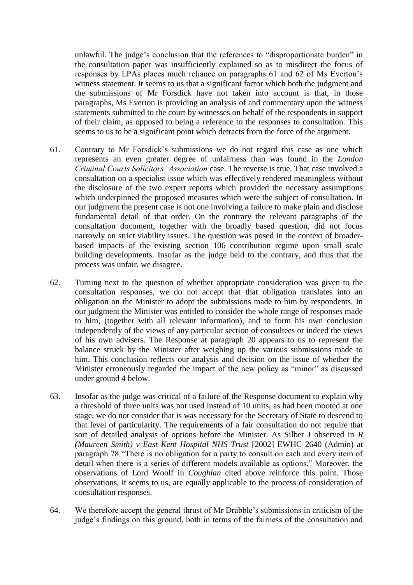unlawful. The judge's conclusion that the references to "disproportionate burden" in the consultation paper was insufficiently explained so as to misdirect the focus of responses by LPAs places much reliance on paragraphs 61 and 62 of Ms Everton's witness statement. It seems to us that a significant factor which both the judgment and the submissions of Mr Forsdick have not taken into account is that, in those paragraphs, Ms Everton is providing an analysis of and commentary upon the witness statements submitted to the court by witnesses on behalf of the respondents in support of their claim, as opposed to being a reference to the responses to consultation. This seems to us to be a significant point which detracts from the force of the argument.

- 61. Contrary to Mr Forsdick's submissions we do not regard this case as one which represents an even greater degree of unfairness than was found in the *London Criminal Courts Solicitors' Association* case. The reverse is true. That case involved a consultation on a specialist issue which was effectively rendered meaningless without the disclosure of the two expert reports which provided the necessary assumptions which underpinned the proposed measures which were the subject of consultation. In our judgment the present case is not one involving a failure to make plain and disclose fundamental detail of that order. On the contrary the relevant paragraphs of the consultation document, together with the broadly based question, did not focus narrowly on strict viability issues. The question was posed in the context of broaderbased impacts of the existing section 106 contribution regime upon small scale building developments. Insofar as the judge held to the contrary, and thus that the process was unfair, we disagree.
- 62. Turning next to the question of whether appropriate consideration was given to the consultation responses, we do not accept that that obligation translates into an obligation on the Minister to adopt the submissions made to him by respondents. In our judgment the Minister was entitled to consider the whole range of responses made to him, (together with all relevant information), and to form his own conclusion independently of the views of any particular section of consultees or indeed the views of his own advisers. The Response at paragraph 20 appears to us to represent the balance struck by the Minister after weighing up the various submissions made to him. This conclusion reflects our analysis and decision on the issue of whether the Minister erroneously regarded the impact of the new policy as "minor" as discussed under ground 4 below.
- 63. Insofar as the judge was critical of a failure of the Response document to explain why a threshold of three units was not used instead of 10 units, as had been mooted at one stage, we do not consider that is was necessary for the Secretary of State to descend to that level of particularity. The requirements of a fair consultation do not require that sort of detailed analysis of options before the Minister. As Silber J observed in *R (Maureen Smith) v East Kent Hospital NHS Trust* [2002] EWHC 2640 (Admin) at paragraph 78 "There is no obligation for a party to consult on each and every item of detail when there is a series of different models available as options." Moreover, the observations of Lord Woolf in *Coughlan* cited above reinforce this point. Those observations, it seems to us, are equally applicable to the process of consideration of consultation responses.
- 64. We therefore accept the general thrust of Mr Drabble's submissions in criticism of the judge's findings on this ground, both in terms of the fairness of the consultation and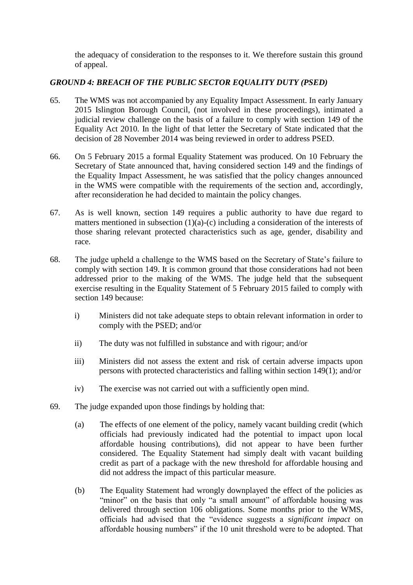the adequacy of consideration to the responses to it. We therefore sustain this ground of appeal.

### *GROUND 4: BREACH OF THE PUBLIC SECTOR EQUALITY DUTY (PSED)*

- 65. The WMS was not accompanied by any Equality Impact Assessment. In early January 2015 Islington Borough Council, (not involved in these proceedings), intimated a judicial review challenge on the basis of a failure to comply with section 149 of the Equality Act 2010. In the light of that letter the Secretary of State indicated that the decision of 28 November 2014 was being reviewed in order to address PSED.
- 66. On 5 February 2015 a formal Equality Statement was produced. On 10 February the Secretary of State announced that, having considered section 149 and the findings of the Equality Impact Assessment, he was satisfied that the policy changes announced in the WMS were compatible with the requirements of the section and, accordingly, after reconsideration he had decided to maintain the policy changes.
- 67. As is well known, section 149 requires a public authority to have due regard to matters mentioned in subsection (1)(a)-(c) including a consideration of the interests of those sharing relevant protected characteristics such as age, gender, disability and race.
- 68. The judge upheld a challenge to the WMS based on the Secretary of State's failure to comply with section 149. It is common ground that those considerations had not been addressed prior to the making of the WMS. The judge held that the subsequent exercise resulting in the Equality Statement of 5 February 2015 failed to comply with section 149 because:
	- i) Ministers did not take adequate steps to obtain relevant information in order to comply with the PSED; and/or
	- ii) The duty was not fulfilled in substance and with rigour; and/or
	- iii) Ministers did not assess the extent and risk of certain adverse impacts upon persons with protected characteristics and falling within section 149(1); and/or
	- iv) The exercise was not carried out with a sufficiently open mind.
- 69. The judge expanded upon those findings by holding that:
	- (a) The effects of one element of the policy, namely vacant building credit (which officials had previously indicated had the potential to impact upon local affordable housing contributions), did not appear to have been further considered. The Equality Statement had simply dealt with vacant building credit as part of a package with the new threshold for affordable housing and did not address the impact of this particular measure.
	- (b) The Equality Statement had wrongly downplayed the effect of the policies as "minor" on the basis that only "a small amount" of affordable housing was delivered through section 106 obligations. Some months prior to the WMS, officials had advised that the "evidence suggests a *significant impact* on affordable housing numbers" if the 10 unit threshold were to be adopted. That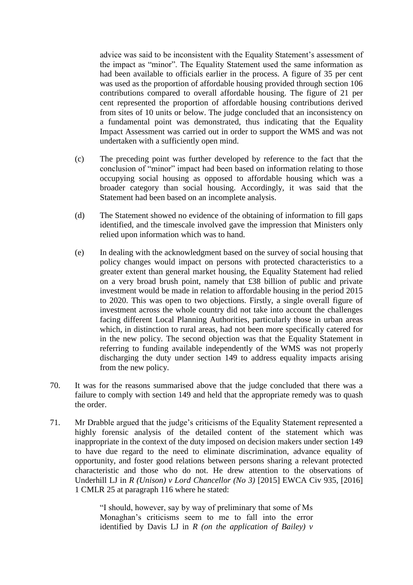advice was said to be inconsistent with the Equality Statement's assessment of the impact as "minor". The Equality Statement used the same information as had been available to officials earlier in the process. A figure of 35 per cent was used as the proportion of affordable housing provided through section 106 contributions compared to overall affordable housing. The figure of 21 per cent represented the proportion of affordable housing contributions derived from sites of 10 units or below. The judge concluded that an inconsistency on a fundamental point was demonstrated, thus indicating that the Equality Impact Assessment was carried out in order to support the WMS and was not undertaken with a sufficiently open mind.

- (c) The preceding point was further developed by reference to the fact that the conclusion of "minor" impact had been based on information relating to those occupying social housing as opposed to affordable housing which was a broader category than social housing. Accordingly, it was said that the Statement had been based on an incomplete analysis.
- (d) The Statement showed no evidence of the obtaining of information to fill gaps identified, and the timescale involved gave the impression that Ministers only relied upon information which was to hand.
- (e) In dealing with the acknowledgment based on the survey of social housing that policy changes would impact on persons with protected characteristics to a greater extent than general market housing, the Equality Statement had relied on a very broad brush point, namely that £38 billion of public and private investment would be made in relation to affordable housing in the period 2015 to 2020. This was open to two objections. Firstly, a single overall figure of investment across the whole country did not take into account the challenges facing different Local Planning Authorities, particularly those in urban areas which, in distinction to rural areas, had not been more specifically catered for in the new policy. The second objection was that the Equality Statement in referring to funding available independently of the WMS was not properly discharging the duty under section 149 to address equality impacts arising from the new policy.
- 70. It was for the reasons summarised above that the judge concluded that there was a failure to comply with section 149 and held that the appropriate remedy was to quash the order.
- 71. Mr Drabble argued that the judge's criticisms of the Equality Statement represented a highly forensic analysis of the detailed content of the statement which was inappropriate in the context of the duty imposed on decision makers under section 149 to have due regard to the need to eliminate discrimination, advance equality of opportunity, and foster good relations between persons sharing a relevant protected characteristic and those who do not. He drew attention to the observations of Underhill LJ in *R (Unison) v Lord Chancellor (No 3)* [2015] EWCA Civ 935, [2016] 1 CMLR 25 at paragraph 116 where he stated:

"I should, however, say by way of preliminary that some of Ms Monaghan's criticisms seem to me to fall into the error identified by Davis LJ in *R (on the application of Bailey) v*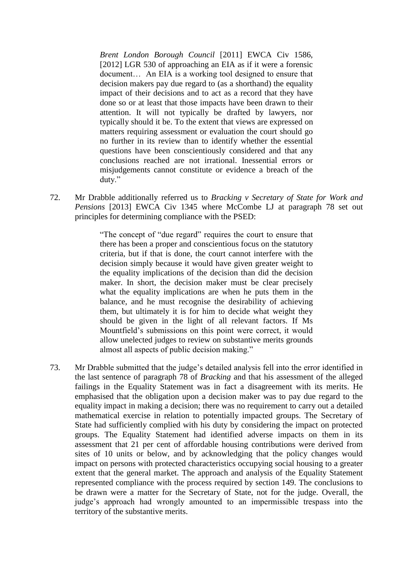*Brent London Borough Council* [2011] EWCA Civ 1586, [2012] LGR 530 of approaching an EIA as if it were a forensic document… An EIA is a working tool designed to ensure that decision makers pay due regard to (as a shorthand) the equality impact of their decisions and to act as a record that they have done so or at least that those impacts have been drawn to their attention. It will not typically be drafted by lawyers, nor typically should it be. To the extent that views are expressed on matters requiring assessment or evaluation the court should go no further in its review than to identify whether the essential questions have been conscientiously considered and that any conclusions reached are not irrational. Inessential errors or misjudgements cannot constitute or evidence a breach of the duty."

72. Mr Drabble additionally referred us to *Bracking v Secretary of State for Work and Pensions* [2013] EWCA Civ 1345 where McCombe LJ at paragraph 78 set out principles for determining compliance with the PSED:

> "The concept of "due regard" requires the court to ensure that there has been a proper and conscientious focus on the statutory criteria, but if that is done, the court cannot interfere with the decision simply because it would have given greater weight to the equality implications of the decision than did the decision maker. In short, the decision maker must be clear precisely what the equality implications are when he puts them in the balance, and he must recognise the desirability of achieving them, but ultimately it is for him to decide what weight they should be given in the light of all relevant factors. If Ms Mountfield's submissions on this point were correct, it would allow unelected judges to review on substantive merits grounds almost all aspects of public decision making."

73. Mr Drabble submitted that the judge's detailed analysis fell into the error identified in the last sentence of paragraph 78 of *Bracking* and that his assessment of the alleged failings in the Equality Statement was in fact a disagreement with its merits. He emphasised that the obligation upon a decision maker was to pay due regard to the equality impact in making a decision; there was no requirement to carry out a detailed mathematical exercise in relation to potentially impacted groups. The Secretary of State had sufficiently complied with his duty by considering the impact on protected groups. The Equality Statement had identified adverse impacts on them in its assessment that 21 per cent of affordable housing contributions were derived from sites of 10 units or below, and by acknowledging that the policy changes would impact on persons with protected characteristics occupying social housing to a greater extent that the general market. The approach and analysis of the Equality Statement represented compliance with the process required by section 149. The conclusions to be drawn were a matter for the Secretary of State, not for the judge. Overall, the judge's approach had wrongly amounted to an impermissible trespass into the territory of the substantive merits.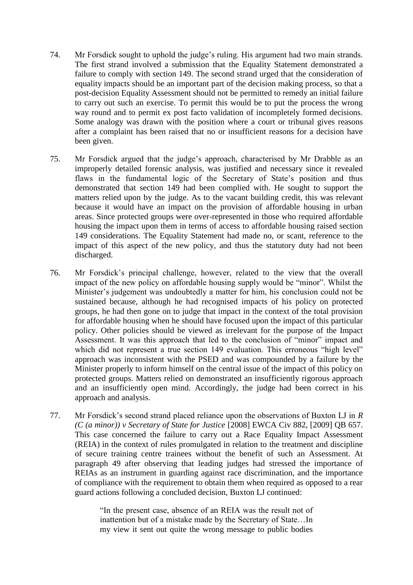- 74. Mr Forsdick sought to uphold the judge's ruling. His argument had two main strands. The first strand involved a submission that the Equality Statement demonstrated a failure to comply with section 149. The second strand urged that the consideration of equality impacts should be an important part of the decision making process, so that a post-decision Equality Assessment should not be permitted to remedy an initial failure to carry out such an exercise. To permit this would be to put the process the wrong way round and to permit ex post facto validation of incompletely formed decisions. Some analogy was drawn with the position where a court or tribunal gives reasons after a complaint has been raised that no or insufficient reasons for a decision have been given.
- 75. Mr Forsdick argued that the judge's approach, characterised by Mr Drabble as an improperly detailed forensic analysis, was justified and necessary since it revealed flaws in the fundamental logic of the Secretary of State's position and thus demonstrated that section 149 had been complied with. He sought to support the matters relied upon by the judge. As to the vacant building credit, this was relevant because it would have an impact on the provision of affordable housing in urban areas. Since protected groups were over-represented in those who required affordable housing the impact upon them in terms of access to affordable housing raised section 149 considerations. The Equality Statement had made no, or scant, reference to the impact of this aspect of the new policy, and thus the statutory duty had not been discharged.
- 76. Mr Forsdick's principal challenge, however, related to the view that the overall impact of the new policy on affordable housing supply would be "minor". Whilst the Minister's judgement was undoubtedly a matter for him, his conclusion could not be sustained because, although he had recognised impacts of his policy on protected groups, he had then gone on to judge that impact in the context of the total provision for affordable housing when he should have focused upon the impact of this particular policy. Other policies should be viewed as irrelevant for the purpose of the Impact Assessment. It was this approach that led to the conclusion of "minor" impact and which did not represent a true section 149 evaluation. This erroneous "high level" approach was inconsistent with the PSED and was compounded by a failure by the Minister properly to inform himself on the central issue of the impact of this policy on protected groups. Matters relied on demonstrated an insufficiently rigorous approach and an insufficiently open mind. Accordingly, the judge had been correct in his approach and analysis.
- 77. Mr Forsdick's second strand placed reliance upon the observations of Buxton LJ in *R (C (a minor)) v Secretary of State for Justice* [2008] EWCA Civ 882, [2009] QB 657. This case concerned the failure to carry out a Race Equality Impact Assessment (REIA) in the context of rules promulgated in relation to the treatment and discipline of secure training centre trainees without the benefit of such an Assessment. At paragraph 49 after observing that leading judges had stressed the importance of REIAs as an instrument in guarding against race discrimination, and the importance of compliance with the requirement to obtain them when required as opposed to a rear guard actions following a concluded decision, Buxton LJ continued:

"In the present case, absence of an REIA was the result not of inattention but of a mistake made by the Secretary of State…In my view it sent out quite the wrong message to public bodies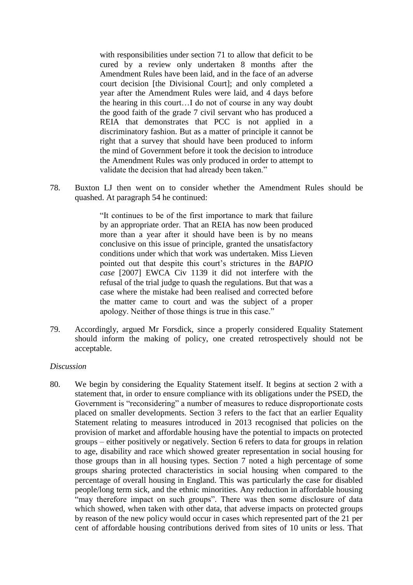with responsibilities under section 71 to allow that deficit to be cured by a review only undertaken 8 months after the Amendment Rules have been laid, and in the face of an adverse court decision [the Divisional Court]; and only completed a year after the Amendment Rules were laid, and 4 days before the hearing in this court…I do not of course in any way doubt the good faith of the grade 7 civil servant who has produced a REIA that demonstrates that PCC is not applied in a discriminatory fashion. But as a matter of principle it cannot be right that a survey that should have been produced to inform the mind of Government before it took the decision to introduce the Amendment Rules was only produced in order to attempt to validate the decision that had already been taken."

78. Buxton LJ then went on to consider whether the Amendment Rules should be quashed. At paragraph 54 he continued:

> "It continues to be of the first importance to mark that failure by an appropriate order. That an REIA has now been produced more than a year after it should have been is by no means conclusive on this issue of principle, granted the unsatisfactory conditions under which that work was undertaken. Miss Lieven pointed out that despite this court's strictures in the *BAPIO case* [2007] EWCA Civ 1139 it did not interfere with the refusal of the trial judge to quash the regulations. But that was a case where the mistake had been realised and corrected before the matter came to court and was the subject of a proper apology. Neither of those things is true in this case."

79. Accordingly, argued Mr Forsdick, since a properly considered Equality Statement should inform the making of policy, one created retrospectively should not be acceptable.

#### *Discussion*

80. We begin by considering the Equality Statement itself. It begins at section 2 with a statement that, in order to ensure compliance with its obligations under the PSED, the Government is "reconsidering" a number of measures to reduce disproportionate costs placed on smaller developments. Section 3 refers to the fact that an earlier Equality Statement relating to measures introduced in 2013 recognised that policies on the provision of market and affordable housing have the potential to impacts on protected groups – either positively or negatively. Section 6 refers to data for groups in relation to age, disability and race which showed greater representation in social housing for those groups than in all housing types. Section 7 noted a high percentage of some groups sharing protected characteristics in social housing when compared to the percentage of overall housing in England. This was particularly the case for disabled people/long term sick, and the ethnic minorities. Any reduction in affordable housing "may therefore impact on such groups". There was then some disclosure of data which showed, when taken with other data, that adverse impacts on protected groups by reason of the new policy would occur in cases which represented part of the 21 per cent of affordable housing contributions derived from sites of 10 units or less. That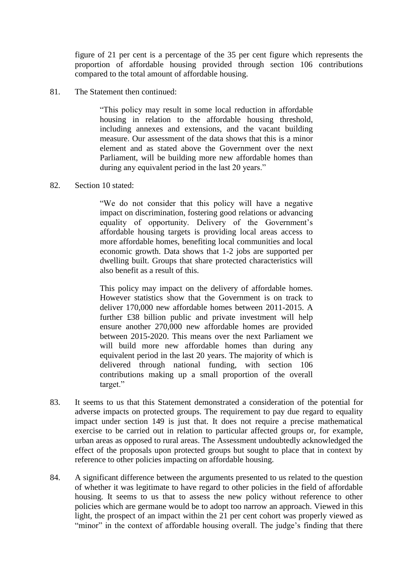figure of 21 per cent is a percentage of the 35 per cent figure which represents the proportion of affordable housing provided through section 106 contributions compared to the total amount of affordable housing.

81. The Statement then continued:

"This policy may result in some local reduction in affordable housing in relation to the affordable housing threshold, including annexes and extensions, and the vacant building measure. Our assessment of the data shows that this is a minor element and as stated above the Government over the next Parliament, will be building more new affordable homes than during any equivalent period in the last 20 years."

#### 82. Section 10 stated:

"We do not consider that this policy will have a negative impact on discrimination, fostering good relations or advancing equality of opportunity. Delivery of the Government's affordable housing targets is providing local areas access to more affordable homes, benefiting local communities and local economic growth. Data shows that 1-2 jobs are supported per dwelling built. Groups that share protected characteristics will also benefit as a result of this.

This policy may impact on the delivery of affordable homes. However statistics show that the Government is on track to deliver 170,000 new affordable homes between 2011-2015. A further £38 billion public and private investment will help ensure another 270,000 new affordable homes are provided between 2015-2020. This means over the next Parliament we will build more new affordable homes than during any equivalent period in the last 20 years. The majority of which is delivered through national funding, with section 106 contributions making up a small proportion of the overall target."

- 83. It seems to us that this Statement demonstrated a consideration of the potential for adverse impacts on protected groups. The requirement to pay due regard to equality impact under section 149 is just that. It does not require a precise mathematical exercise to be carried out in relation to particular affected groups or, for example, urban areas as opposed to rural areas. The Assessment undoubtedly acknowledged the effect of the proposals upon protected groups but sought to place that in context by reference to other policies impacting on affordable housing.
- 84. A significant difference between the arguments presented to us related to the question of whether it was legitimate to have regard to other policies in the field of affordable housing. It seems to us that to assess the new policy without reference to other policies which are germane would be to adopt too narrow an approach. Viewed in this light, the prospect of an impact within the 21 per cent cohort was properly viewed as "minor" in the context of affordable housing overall. The judge's finding that there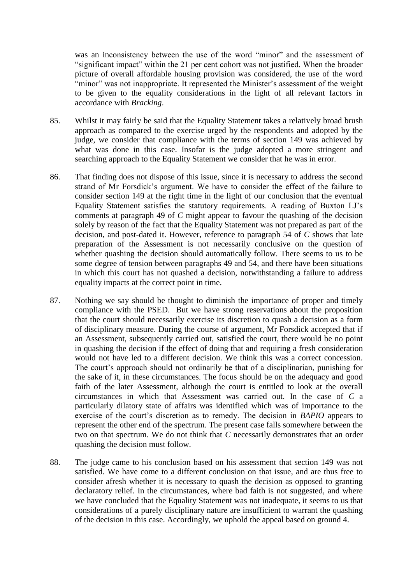was an inconsistency between the use of the word "minor" and the assessment of "significant impact" within the 21 per cent cohort was not justified. When the broader picture of overall affordable housing provision was considered, the use of the word "minor" was not inappropriate. It represented the Minister's assessment of the weight to be given to the equality considerations in the light of all relevant factors in accordance with *Bracking*.

- 85. Whilst it may fairly be said that the Equality Statement takes a relatively broad brush approach as compared to the exercise urged by the respondents and adopted by the judge, we consider that compliance with the terms of section 149 was achieved by what was done in this case. Insofar is the judge adopted a more stringent and searching approach to the Equality Statement we consider that he was in error.
- 86. That finding does not dispose of this issue, since it is necessary to address the second strand of Mr Forsdick's argument. We have to consider the effect of the failure to consider section 149 at the right time in the light of our conclusion that the eventual Equality Statement satisfies the statutory requirements. A reading of Buxton LJ's comments at paragraph 49 of *C* might appear to favour the quashing of the decision solely by reason of the fact that the Equality Statement was not prepared as part of the decision, and post-dated it. However, reference to paragraph 54 of *C* shows that late preparation of the Assessment is not necessarily conclusive on the question of whether quashing the decision should automatically follow. There seems to us to be some degree of tension between paragraphs 49 and 54, and there have been situations in which this court has not quashed a decision, notwithstanding a failure to address equality impacts at the correct point in time.
- 87. Nothing we say should be thought to diminish the importance of proper and timely compliance with the PSED. But we have strong reservations about the proposition that the court should necessarily exercise its discretion to quash a decision as a form of disciplinary measure. During the course of argument, Mr Forsdick accepted that if an Assessment, subsequently carried out, satisfied the court, there would be no point in quashing the decision if the effect of doing that and requiring a fresh consideration would not have led to a different decision. We think this was a correct concession. The court's approach should not ordinarily be that of a disciplinarian, punishing for the sake of it, in these circumstances. The focus should be on the adequacy and good faith of the later Assessment, although the court is entitled to look at the overall circumstances in which that Assessment was carried out. In the case of *C* a particularly dilatory state of affairs was identified which was of importance to the exercise of the court's discretion as to remedy. The decision in *BAPIO* appears to represent the other end of the spectrum. The present case falls somewhere between the two on that spectrum. We do not think that *C* necessarily demonstrates that an order quashing the decision must follow.
- 88. The judge came to his conclusion based on his assessment that section 149 was not satisfied. We have come to a different conclusion on that issue, and are thus free to consider afresh whether it is necessary to quash the decision as opposed to granting declaratory relief. In the circumstances, where bad faith is not suggested, and where we have concluded that the Equality Statement was not inadequate, it seems to us that considerations of a purely disciplinary nature are insufficient to warrant the quashing of the decision in this case. Accordingly, we uphold the appeal based on ground 4.